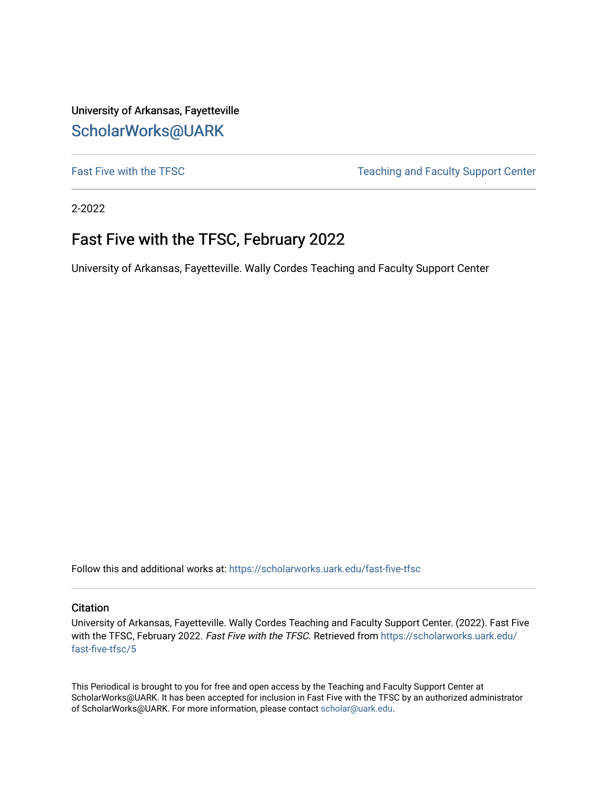University of Arkansas, Fayetteville [ScholarWorks@UARK](https://scholarworks.uark.edu/) 

[Fast Five with the TFSC](https://scholarworks.uark.edu/fast-five-tfsc) Teaching and Faculty Support Center

2-2022

## Fast Five with the TFSC, February 2022

University of Arkansas, Fayetteville. Wally Cordes Teaching and Faculty Support Center

Follow this and additional works at: [https://scholarworks.uark.edu/fast-five-tfsc](https://scholarworks.uark.edu/fast-five-tfsc?utm_source=scholarworks.uark.edu%2Ffast-five-tfsc%2F5&utm_medium=PDF&utm_campaign=PDFCoverPages) 

#### **Citation**

University of Arkansas, Fayetteville. Wally Cordes Teaching and Faculty Support Center. (2022). Fast Five with the TFSC, February 2022. Fast Five with the TFSC. Retrieved from [https://scholarworks.uark.edu/](https://scholarworks.uark.edu/fast-five-tfsc/5?utm_source=scholarworks.uark.edu%2Ffast-five-tfsc%2F5&utm_medium=PDF&utm_campaign=PDFCoverPages) [fast-five-tfsc/5](https://scholarworks.uark.edu/fast-five-tfsc/5?utm_source=scholarworks.uark.edu%2Ffast-five-tfsc%2F5&utm_medium=PDF&utm_campaign=PDFCoverPages)

This Periodical is brought to you for free and open access by the Teaching and Faculty Support Center at ScholarWorks@UARK. It has been accepted for inclusion in Fast Five with the TFSC by an authorized administrator of ScholarWorks@UARK. For more information, please contact [scholar@uark.edu.](mailto:scholar@uark.edu)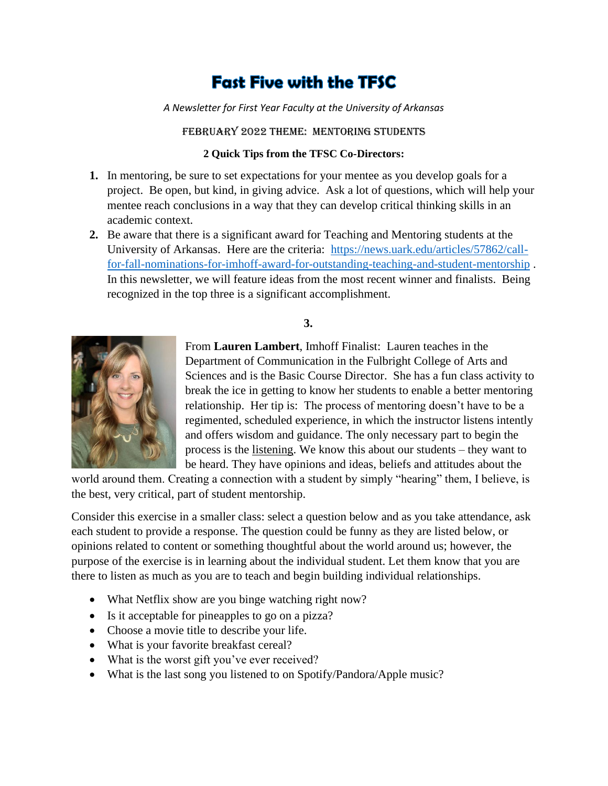# **Fast Five with the TFSC**

*A Newsletter for First Year Faculty at the University of Arkansas*

February 2022 Theme: Mentoring students

### **2 Quick Tips from the TFSC Co-Directors:**

- **1.** In mentoring, be sure to set expectations for your mentee as you develop goals for a project. Be open, but kind, in giving advice. Ask a lot of questions, which will help your mentee reach conclusions in a way that they can develop critical thinking skills in an academic context.
- **2.** Be aware that there is a significant award for Teaching and Mentoring students at the University of Arkansas. Here are the criteria: [https://news.uark.edu/articles/57862/call](https://news.uark.edu/articles/57862/call-for-fall-nominations-for-imhoff-award-for-outstanding-teaching-and-student-mentorship)[for-fall-nominations-for-imhoff-award-for-outstanding-teaching-and-student-mentorship](https://news.uark.edu/articles/57862/call-for-fall-nominations-for-imhoff-award-for-outstanding-teaching-and-student-mentorship) . In this newsletter, we will feature ideas from the most recent winner and finalists. Being recognized in the top three is a significant accomplishment.

### **3.**



From **Lauren Lambert**, Imhoff Finalist: Lauren teaches in the Department of Communication in the Fulbright College of Arts and Sciences and is the Basic Course Director. She has a fun class activity to break the ice in getting to know her students to enable a better mentoring relationship. Her tip is: The process of mentoring doesn't have to be a regimented, scheduled experience, in which the instructor listens intently and offers wisdom and guidance. The only necessary part to begin the process is the listening. We know this about our students – they want to be heard. They have opinions and ideas, beliefs and attitudes about the

world around them. Creating a connection with a student by simply "hearing" them, I believe, is the best, very critical, part of student mentorship.

Consider this exercise in a smaller class: select a question below and as you take attendance, ask each student to provide a response. The question could be funny as they are listed below, or opinions related to content or something thoughtful about the world around us; however, the purpose of the exercise is in learning about the individual student. Let them know that you are there to listen as much as you are to teach and begin building individual relationships.

- What Netflix show are you binge watching right now?
- Is it acceptable for pineapples to go on a pizza?
- Choose a movie title to describe your life.
- What is your favorite breakfast cereal?
- What is the worst gift you've ever received?
- What is the last song you listened to on Spotify/Pandora/Apple music?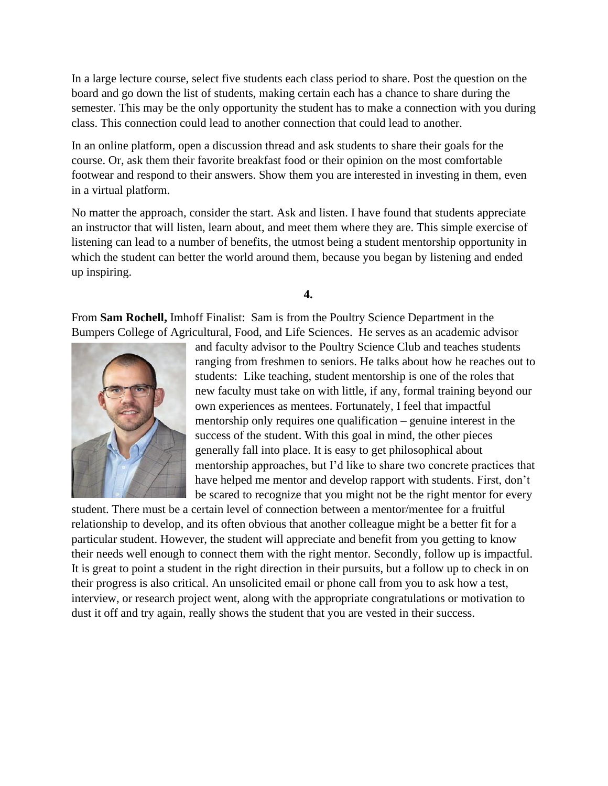In a large lecture course, select five students each class period to share. Post the question on the board and go down the list of students, making certain each has a chance to share during the semester. This may be the only opportunity the student has to make a connection with you during class. This connection could lead to another connection that could lead to another.

In an online platform, open a discussion thread and ask students to share their goals for the course. Or, ask them their favorite breakfast food or their opinion on the most comfortable footwear and respond to their answers. Show them you are interested in investing in them, even in a virtual platform.

No matter the approach, consider the start. Ask and listen. I have found that students appreciate an instructor that will listen, learn about, and meet them where they are. This simple exercise of listening can lead to a number of benefits, the utmost being a student mentorship opportunity in which the student can better the world around them, because you began by listening and ended up inspiring.

**4.**

From **Sam Rochell,** Imhoff Finalist: Sam is from the Poultry Science Department in the Bumpers College of Agricultural, Food, and Life Sciences. He serves as an academic advisor



and faculty advisor to the Poultry Science Club and teaches students ranging from freshmen to seniors. He talks about how he reaches out to students: Like teaching, student mentorship is one of the roles that new faculty must take on with little, if any, formal training beyond our own experiences as mentees. Fortunately, I feel that impactful mentorship only requires one qualification – genuine interest in the success of the student. With this goal in mind, the other pieces generally fall into place. It is easy to get philosophical about mentorship approaches, but I'd like to share two concrete practices that have helped me mentor and develop rapport with students. First, don't be scared to recognize that you might not be the right mentor for every

student. There must be a certain level of connection between a mentor/mentee for a fruitful relationship to develop, and its often obvious that another colleague might be a better fit for a particular student. However, the student will appreciate and benefit from you getting to know their needs well enough to connect them with the right mentor. Secondly, follow up is impactful. It is great to point a student in the right direction in their pursuits, but a follow up to check in on their progress is also critical. An unsolicited email or phone call from you to ask how a test, interview, or research project went, along with the appropriate congratulations or motivation to dust it off and try again, really shows the student that you are vested in their success.